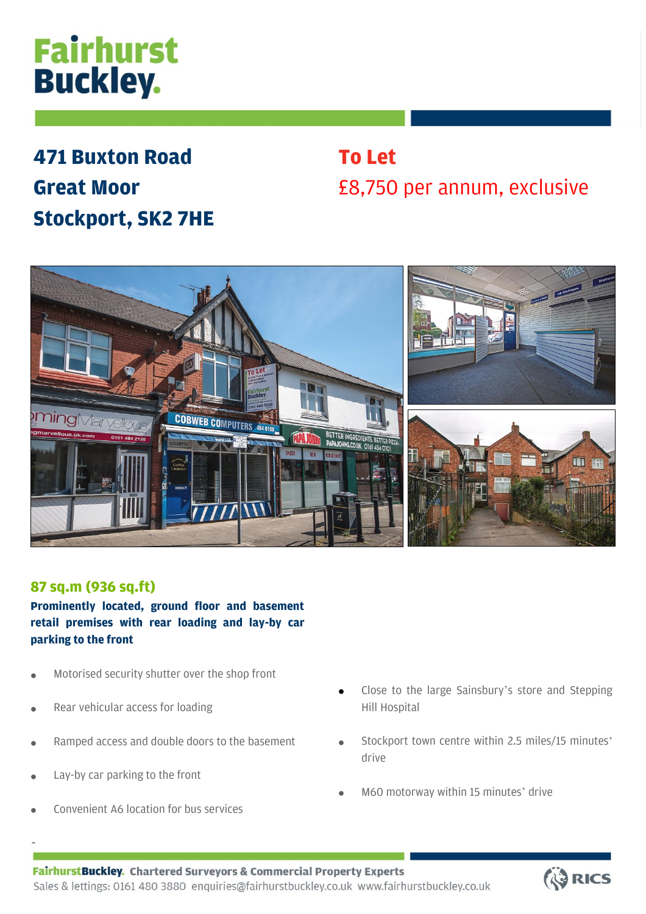# **Fairhurst Buckley.**

## **471 Buxton Road Great Moor Stockport, SK2 7HE**

### **To Let** £8,750 per annum, exclusive



### **87 sq.m (936 sq.ft)**

**Prominently located, ground floor and basement retail premises with rear loading and lay-by car parking to the front**

- Motorised security shutter over the shop front
- Rear vehicular access for loading
- Ramped access and double doors to the basement
- Lay-by car parking to the front

•

• Convenient A6 location for bus services

- Close to the large Sainsbury's store and Stepping Hill Hospital
- Stockport town centre within 2.5 miles/15 minutes' drive
- M60 motorway within 15 minutes' drive

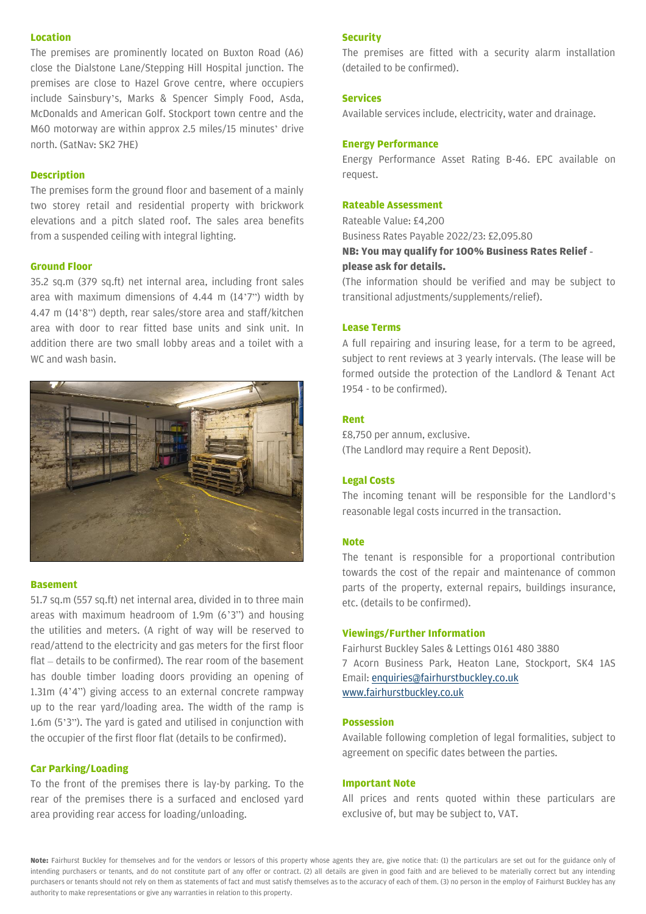#### **Location**

The premises are prominently located on Buxton Road (A6) close the Dialstone Lane/Stepping Hill Hospital junction. The premises are close to Hazel Grove centre, where occupiers include Sainsbury's, Marks & Spencer Simply Food, Asda, McDonalds and American Golf. Stockport town centre and the M60 motorway are within approx 2.5 miles/15 minutes' drive north. (SatNav: SK2 7HE)

#### **Description**

The premises form the ground floor and basement of a mainly two storey retail and residential property with brickwork elevations and a pitch slated roof. The sales area benefits from a suspended ceiling with integral lighting.

#### **Ground Floor**

35.2 sq.m (379 sq.ft) net internal area, including front sales area with maximum dimensions of 4.44 m (14'7") width by 4.47 m (14'8") depth, rear sales/store area and staff/kitchen area with door to rear fitted base units and sink unit. In addition there are two small lobby areas and a toilet with a WC and wash basin.



#### **Basement**

51.7 sq.m (557 sq.ft) net internal area, divided in to three main areas with maximum headroom of 1.9m (6'3") and housing the utilities and meters. (A right of way will be reserved to read/attend to the electricity and gas meters for the first floor flat – details to be confirmed). The rear room of the basement has double timber loading doors providing an opening of 1.31m (4'4") giving access to an external concrete rampway up to the rear yard/loading area. The width of the ramp is 1.6m (5'3"). The yard is gated and utilised in conjunction with the occupier of the first floor flat (details to be confirmed).

#### **Car Parking/Loading**

To the front of the premises there is lay-by parking. To the rear of the premises there is a surfaced and enclosed yard area providing rear access for loading/unloading.

#### **Security**

The premises are fitted with a security alarm installation (detailed to be confirmed).

#### **Services**

Available services include, electricity, water and drainage.

#### **Energy Performance**

Energy Performance Asset Rating B-46. EPC available on request.

#### **Rateable Assessment**

Rateable Value: £4,200 Business Rates Payable 2022/23: £2,095.80 **NB: You may qualify for 100% Business Rates Relief please ask for details.**

(The information should be verified and may be subject to transitional adjustments/supplements/relief).

#### **Lease Terms**

A full repairing and insuring lease, for a term to be agreed, subject to rent reviews at 3 yearly intervals. (The lease will be formed outside the protection of the Landlord & Tenant Act 1954 - to be confirmed).

#### **Rent**

£8,750 per annum, exclusive. (The Landlord may require a Rent Deposit).

#### **Legal Costs**

The incoming tenant will be responsible for the Landlord's reasonable legal costs incurred in the transaction.

#### **Note**

The tenant is responsible for a proportional contribution towards the cost of the repair and maintenance of common parts of the property, external repairs, buildings insurance, etc. (details to be confirmed).

#### **Viewings/Further Information**

Fairhurst Buckley Sales & Lettings 0161 480 3880 7 Acorn Business Park, Heaton Lane, Stockport, SK4 1AS Email[: enquiries@fairhurstbuckley.co.uk](mailto:enquiries@fairhurstbuckley.co.uk) [www.fairhurstbuckley.co.uk](http://www.fairhurstbuckley.co.uk/)

#### **Possession**

Available following completion of legal formalities, subject to agreement on specific dates between the parties.

#### **Important Note**

All prices and rents quoted within these particulars are exclusive of, but may be subject to, VAT.

**Note:** Fairhurst Buckley for themselves and for the vendors or lessors of this property whose agents they are, give notice that: (1) the particulars are set out for the guidance only of intending purchasers or tenants, and do not constitute part of any offer or contract. (2) all details are given in good faith and are believed to be materially correct but any intending purchasers or tenants should not rely on them as statements of fact and must satisfy themselves as to the accuracy of each of them. (3) no person in the employ of Fairhurst Buckley has any authority to make representations or give any warranties in relation to this property.